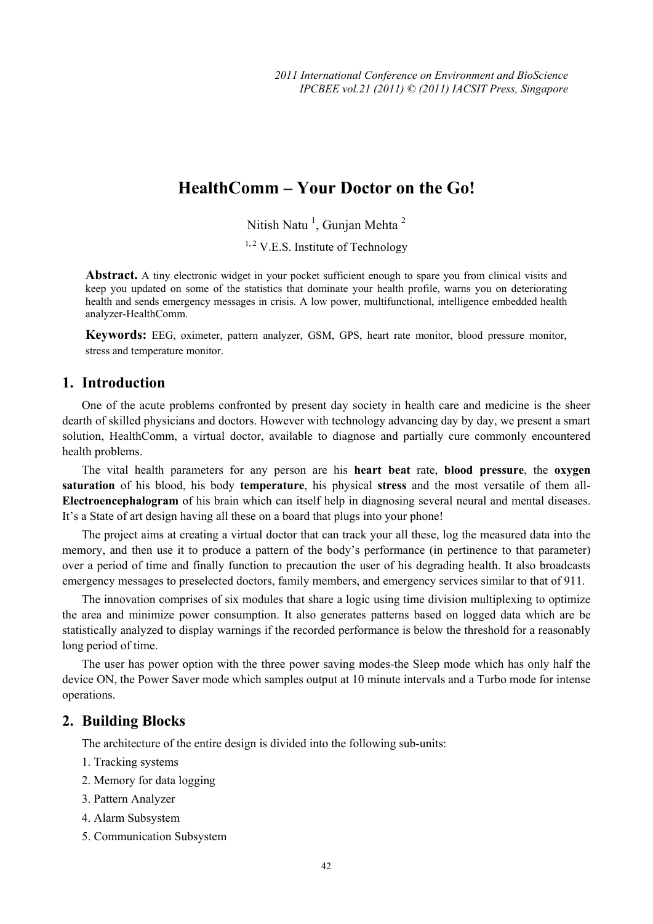# **HealthComm – Your Doctor on the Go!**

Nitish Natu<sup>1</sup>, Gunjan Mehta<sup>2</sup>

 $1, 2$  V.E.S. Institute of Technology

Abstract. A tiny electronic widget in your pocket sufficient enough to spare you from clinical visits and keep you updated on some of the statistics that dominate your health profile, warns you on deteriorating health and sends emergency messages in crisis. A low power, multifunctional, intelligence embedded health analyzer-HealthComm.

**Keywords:** EEG, oximeter, pattern analyzer, GSM, GPS, heart rate monitor, blood pressure monitor, stress and temperature monitor.

# **1. Introduction**

One of the acute problems confronted by present day society in health care and medicine is the sheer dearth of skilled physicians and doctors. However with technology advancing day by day, we present a smart solution, HealthComm, a virtual doctor, available to diagnose and partially cure commonly encountered health problems.

The vital health parameters for any person are his **heart beat** rate, **blood pressure**, the **oxygen saturation** of his blood, his body **temperature**, his physical **stress** and the most versatile of them all-**Electroencephalogram** of his brain which can itself help in diagnosing several neural and mental diseases. It's a State of art design having all these on a board that plugs into your phone!

The project aims at creating a virtual doctor that can track your all these, log the measured data into the memory, and then use it to produce a pattern of the body's performance (in pertinence to that parameter) over a period of time and finally function to precaution the user of his degrading health. It also broadcasts emergency messages to preselected doctors, family members, and emergency services similar to that of 911.

The innovation comprises of six modules that share a logic using time division multiplexing to optimize the area and minimize power consumption. It also generates patterns based on logged data which are be statistically analyzed to display warnings if the recorded performance is below the threshold for a reasonably long period of time.

The user has power option with the three power saving modes-the Sleep mode which has only half the device ON, the Power Saver mode which samples output at 10 minute intervals and a Turbo mode for intense operations.

#### **2. Building Blocks**

The architecture of the entire design is divided into the following sub-units:

- 1. Tracking systems
- 2. Memory for data logging
- 3. Pattern Analyzer
- 4. Alarm Subsystem
- 5. Communication Subsystem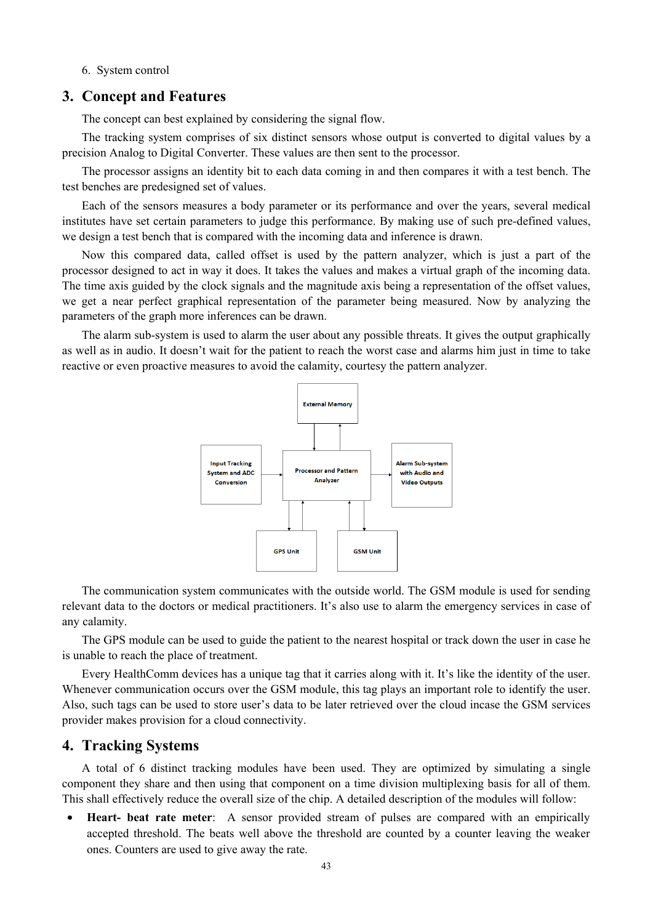#### 6. System control

### **3. Concept and Features**

The concept can best explained by considering the signal flow.

The tracking system comprises of six distinct sensors whose output is converted to digital values by a precision Analog to Digital Converter. These values are then sent to the processor.

The processor assigns an identity bit to each data coming in and then compares it with a test bench. The test benches are predesigned set of values.

Each of the sensors measures a body parameter or its performance and over the years, several medical institutes have set certain parameters to judge this performance. By making use of such pre-defined values, we design a test bench that is compared with the incoming data and inference is drawn.

Now this compared data, called offset is used by the pattern analyzer, which is just a part of the processor designed to act in way it does. It takes the values and makes a virtual graph of the incoming data. The time axis guided by the clock signals and the magnitude axis being a representation of the offset values, we get a near perfect graphical representation of the parameter being measured. Now by analyzing the parameters of the graph more inferences can be drawn.

The alarm sub-system is used to alarm the user about any possible threats. It gives the output graphically as well as in audio. It doesn't wait for the patient to reach the worst case and alarms him just in time to take reactive or even proactive measures to avoid the calamity, courtesy the pattern analyzer.



The communication system communicates with the outside world. The GSM module is used for sending relevant data to the doctors or medical practitioners. It's also use to alarm the emergency services in case of any calamity.

The GPS module can be used to guide the patient to the nearest hospital or track down the user in case he is unable to reach the place of treatment.

Every HealthComm devices has a unique tag that it carries along with it. It's like the identity of the user. Whenever communication occurs over the GSM module, this tag plays an important role to identify the user. Also, such tags can be used to store user's data to be later retrieved over the cloud incase the GSM services provider makes provision for a cloud connectivity.

### **4. Tracking Systems**

A total of 6 distinct tracking modules have been used. They are optimized by simulating a single component they share and then using that component on a time division multiplexing basis for all of them. This shall effectively reduce the overall size of the chip. A detailed description of the modules will follow:

• **Heart- beat rate meter**: A sensor provided stream of pulses are compared with an empirically accepted threshold. The beats well above the threshold are counted by a counter leaving the weaker ones. Counters are used to give away the rate.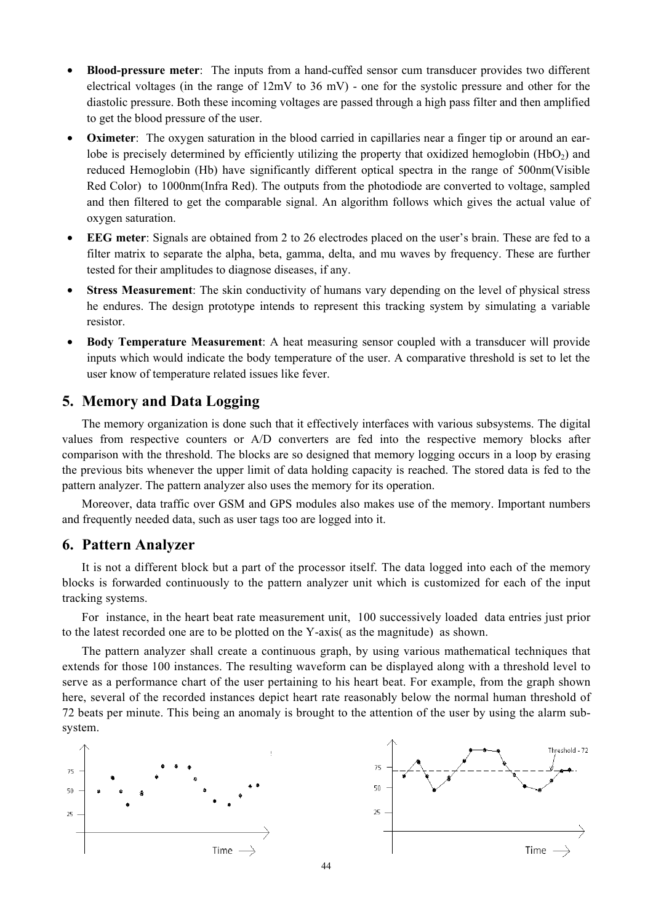- **Blood-pressure meter**: The inputs from a hand-cuffed sensor cum transducer provides two different electrical voltages (in the range of 12mV to 36 mV) - one for the systolic pressure and other for the diastolic pressure. Both these incoming voltages are passed through a high pass filter and then amplified to get the blood pressure of the user.
- **Oximeter**: The oxygen saturation in the blood carried in capillaries near a finger tip or around an earlobe is precisely determined by efficiently utilizing the property that oxidized hemoglobin  $(HbO<sub>2</sub>)$  and reduced Hemoglobin (Hb) have significantly different optical spectra in the range of 500nm(Visible Red Color) to 1000nm(Infra Red). The outputs from the photodiode are converted to voltage, sampled and then filtered to get the comparable signal. An algorithm follows which gives the actual value of oxygen saturation.
- **EEG meter**: Signals are obtained from 2 to 26 electrodes placed on the user's brain. These are fed to a filter matrix to separate the alpha, beta, gamma, delta, and mu waves by frequency. These are further tested for their amplitudes to diagnose diseases, if any.
- **Stress Measurement**: The skin conductivity of humans vary depending on the level of physical stress he endures. The design prototype intends to represent this tracking system by simulating a variable resistor.
- **Body Temperature Measurement**: A heat measuring sensor coupled with a transducer will provide inputs which would indicate the body temperature of the user. A comparative threshold is set to let the user know of temperature related issues like fever.

# **5. Memory and Data Logging**

The memory organization is done such that it effectively interfaces with various subsystems. The digital values from respective counters or A/D converters are fed into the respective memory blocks after comparison with the threshold. The blocks are so designed that memory logging occurs in a loop by erasing the previous bits whenever the upper limit of data holding capacity is reached. The stored data is fed to the pattern analyzer. The pattern analyzer also uses the memory for its operation.

Moreover, data traffic over GSM and GPS modules also makes use of the memory. Important numbers and frequently needed data, such as user tags too are logged into it.

# **6. Pattern Analyzer**

It is not a different block but a part of the processor itself. The data logged into each of the memory blocks is forwarded continuously to the pattern analyzer unit which is customized for each of the input tracking systems.

For instance, in the heart beat rate measurement unit, 100 successively loaded data entries just prior to the latest recorded one are to be plotted on the Y-axis( as the magnitude) as shown.

The pattern analyzer shall create a continuous graph, by using various mathematical techniques that extends for those 100 instances. The resulting waveform can be displayed along with a threshold level to serve as a performance chart of the user pertaining to his heart beat. For example, from the graph shown here, several of the recorded instances depict heart rate reasonably below the normal human threshold of 72 beats per minute. This being an anomaly is brought to the attention of the user by using the alarm subsystem.

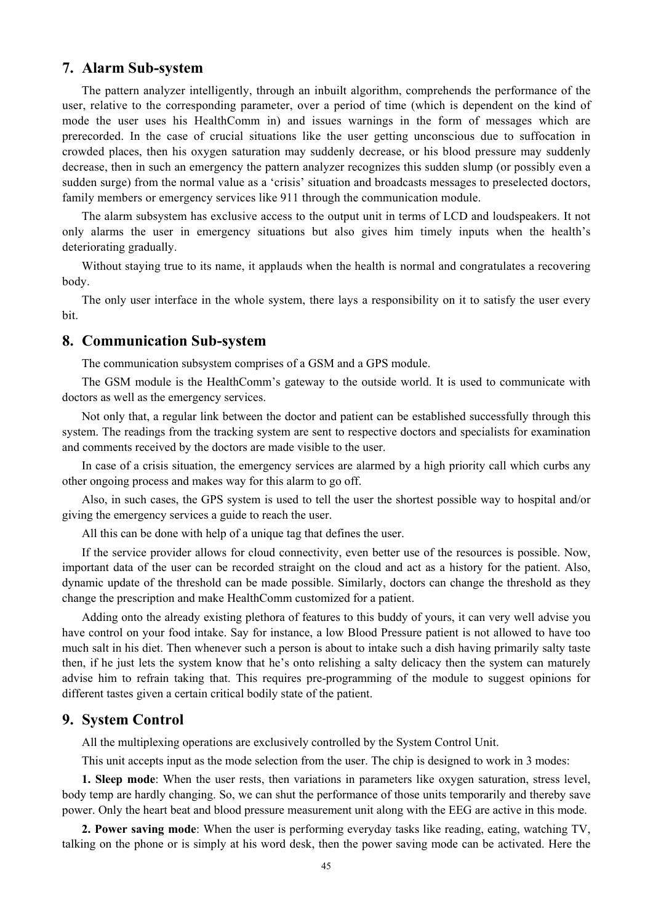## **7. Alarm Sub-system**

The pattern analyzer intelligently, through an inbuilt algorithm, comprehends the performance of the user, relative to the corresponding parameter, over a period of time (which is dependent on the kind of mode the user uses his HealthComm in) and issues warnings in the form of messages which are prerecorded. In the case of crucial situations like the user getting unconscious due to suffocation in crowded places, then his oxygen saturation may suddenly decrease, or his blood pressure may suddenly decrease, then in such an emergency the pattern analyzer recognizes this sudden slump (or possibly even a sudden surge) from the normal value as a 'crisis' situation and broadcasts messages to preselected doctors, family members or emergency services like 911 through the communication module.

The alarm subsystem has exclusive access to the output unit in terms of LCD and loudspeakers. It not only alarms the user in emergency situations but also gives him timely inputs when the health's deteriorating gradually.

Without staying true to its name, it applauds when the health is normal and congratulates a recovering body.

The only user interface in the whole system, there lays a responsibility on it to satisfy the user every bit.

#### **8. Communication Sub-system**

The communication subsystem comprises of a GSM and a GPS module.

The GSM module is the HealthComm's gateway to the outside world. It is used to communicate with doctors as well as the emergency services.

Not only that, a regular link between the doctor and patient can be established successfully through this system. The readings from the tracking system are sent to respective doctors and specialists for examination and comments received by the doctors are made visible to the user.

In case of a crisis situation, the emergency services are alarmed by a high priority call which curbs any other ongoing process and makes way for this alarm to go off.

Also, in such cases, the GPS system is used to tell the user the shortest possible way to hospital and/or giving the emergency services a guide to reach the user.

All this can be done with help of a unique tag that defines the user.

If the service provider allows for cloud connectivity, even better use of the resources is possible. Now, important data of the user can be recorded straight on the cloud and act as a history for the patient. Also, dynamic update of the threshold can be made possible. Similarly, doctors can change the threshold as they change the prescription and make HealthComm customized for a patient.

Adding onto the already existing plethora of features to this buddy of yours, it can very well advise you have control on your food intake. Say for instance, a low Blood Pressure patient is not allowed to have too much salt in his diet. Then whenever such a person is about to intake such a dish having primarily salty taste then, if he just lets the system know that he's onto relishing a salty delicacy then the system can maturely advise him to refrain taking that. This requires pre-programming of the module to suggest opinions for different tastes given a certain critical bodily state of the patient.

# **9. System Control**

All the multiplexing operations are exclusively controlled by the System Control Unit.

This unit accepts input as the mode selection from the user. The chip is designed to work in 3 modes:

**1. Sleep mode**: When the user rests, then variations in parameters like oxygen saturation, stress level, body temp are hardly changing. So, we can shut the performance of those units temporarily and thereby save power. Only the heart beat and blood pressure measurement unit along with the EEG are active in this mode.

**2. Power saving mode**: When the user is performing everyday tasks like reading, eating, watching TV, talking on the phone or is simply at his word desk, then the power saving mode can be activated. Here the